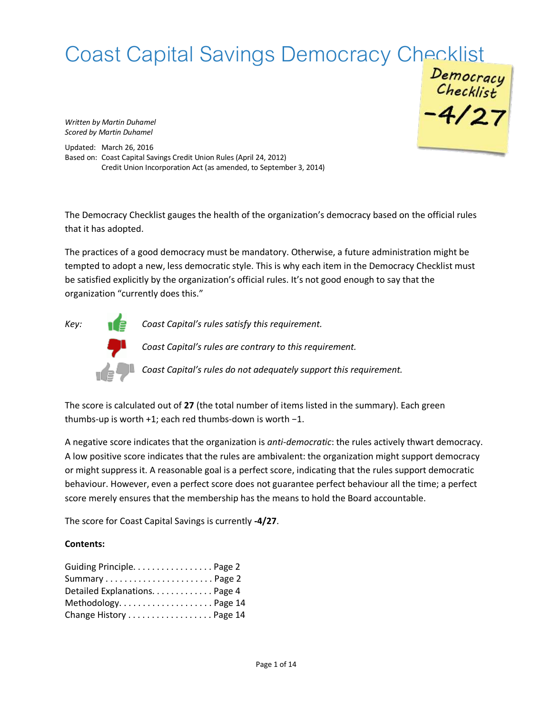# Coast Capital Savings Democracy Checklist<br>
Democracy<br>
Checklist<br>
-4/27

*Written by Martin Duhamel Scored by Martin Duhamel*

Updated: March 26, 2016 Based on: Coast Capital Savings Credit Union Rules (April 24, 2012) Credit Union Incorporation Act (as amended, to September 3, 2014)

The Democracy Checklist gauges the health of the organization's democracy based on the official rules that it has adopted.

The practices of a good democracy must be mandatory. Otherwise, a future administration might be tempted to adopt a new, less democratic style. This is why each item in the Democracy Checklist must be satisfied explicitly by the organization's official rules. It's not good enough to say that the organization "currently does this."

*Key: Coast Capital's rules satisfy this requirement.*

*Coast Capital's rules are contrary to this requirement.*

*Coast Capital's rules do not adequately support this requirement.*

The score is calculated out of **27** (the total number of items listed in the summary). Each green thumbs-up is worth +1; each red thumbs-down is worth −1.

A negative score indicates that the organization is *anti-democratic*: the rules actively thwart democracy. A low positive score indicates that the rules are ambivalent: the organization might support democracy or might suppress it. A reasonable goal is a perfect score, indicating that the rules support democratic behaviour. However, even a perfect score does not guarantee perfect behaviour all the time; a perfect score merely ensures that the membership has the means to hold the Board accountable.

The score for Coast Capital Savings is currently **-4/27**.

#### **Contents:**

| Guiding Principle. Page 2     |  |
|-------------------------------|--|
|                               |  |
| Detailed Explanations. Page 4 |  |
| Methodology Page 14           |  |
| Change History Page 14        |  |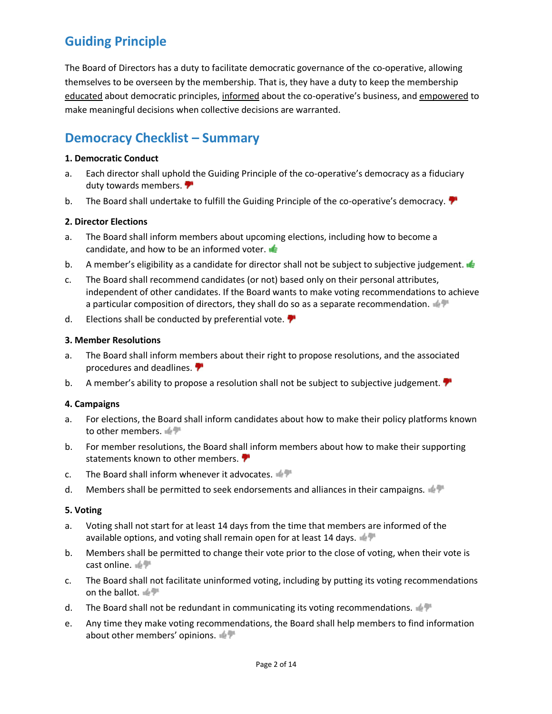# **Guiding Principle**

The Board of Directors has a duty to facilitate democratic governance of the co-operative, allowing themselves to be overseen by the membership. That is, they have a duty to keep the membership educated about democratic principles, informed about the co-operative's business, and empowered to make meaningful decisions when collective decisions are warranted.

# **Democracy Checklist – Summary**

#### **1. Democratic Conduct**

- a. Each director shall uphold the Guiding Principle of the co-operative's democracy as a fiduciary duty towards members.
- b. The Board shall undertake to fulfill the Guiding Principle of the co-operative's democracy.

#### **2. Director Elections**

- a. The Board shall inform members about upcoming elections, including how to become a candidate, and how to be an informed voter.
- b. A member's eligibility as a candidate for director shall not be subject to subjective judgement.
- c. The Board shall recommend candidates (or not) based only on their personal attributes, independent of other candidates. If the Board wants to make voting recommendations to achieve a particular composition of directors, they shall do so as a separate recommendation.
- d. Elections shall be conducted by preferential vote.

#### **3. Member Resolutions**

- a. The Board shall inform members about their right to propose resolutions, and the associated procedures and deadlines.
- b. A member's ability to propose a resolution shall not be subject to subjective judgement.

#### **4. Campaigns**

- a. For elections, the Board shall inform candidates about how to make their policy platforms known to other members.
- b. For member resolutions, the Board shall inform members about how to make their supporting statements known to other members.
- c. The Board shall inform whenever it advocates.
- d. Members shall be permitted to seek endorsements and alliances in their campaigns.

#### **5. Voting**

- a. Voting shall not start for at least 14 days from the time that members are informed of the available options, and voting shall remain open for at least 14 days.  $\blacksquare$
- b. Members shall be permitted to change their vote prior to the close of voting, when their vote is cast online.
- c. The Board shall not facilitate uninformed voting, including by putting its voting recommendations on the ballot.
- d. The Board shall not be redundant in communicating its voting recommendations.
- e. Any time they make voting recommendations, the Board shall help members to find information about other members' opinions.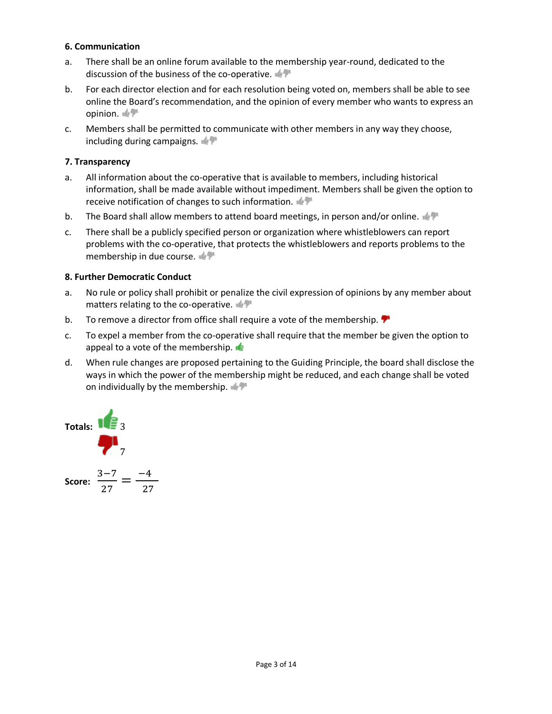#### **6. Communication**

- a. There shall be an online forum available to the membership year-round, dedicated to the discussion of the business of the co-operative.
- b. For each director election and for each resolution being voted on, members shall be able to see online the Board's recommendation, and the opinion of every member who wants to express an opinion.
- c. Members shall be permitted to communicate with other members in any way they choose, including during campaigns.

#### **7. Transparency**

- a. All information about the co-operative that is available to members, including historical information, shall be made available without impediment. Members shall be given the option to receive notification of changes to such information.
- b. The Board shall allow members to attend board meetings, in person and/or online.
- c. There shall be a publicly specified person or organization where whistleblowers can report problems with the co-operative, that protects the whistleblowers and reports problems to the membership in due course.

#### **8. Further Democratic Conduct**

- a. No rule or policy shall prohibit or penalize the civil expression of opinions by any member about matters relating to the co-operative.
- b. To remove a director from office shall require a vote of the membership.  $\blacktriangledown$
- c. To expel a member from the co-operative shall require that the member be given the option to appeal to a vote of the membership.  $\blacksquare$
- d. When rule changes are proposed pertaining to the Guiding Principle, the board shall disclose the ways in which the power of the membership might be reduced, and each change shall be voted on individually by the membership.

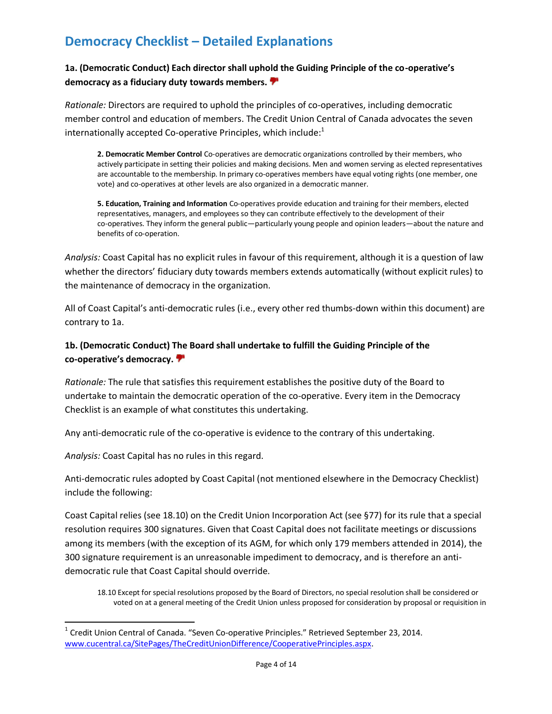# **Democracy Checklist – Detailed Explanations**

# **1a. (Democratic Conduct) Each director shall uphold the Guiding Principle of the co-operative's democracy as a fiduciary duty towards members.**

*Rationale:* Directors are required to uphold the principles of co-operatives, including democratic member control and education of members. The Credit Union Central of Canada advocates the seven internationally accepted Co-operative Principles, which include: $^1$ 

**2. Democratic Member Control** Co-operatives are democratic organizations controlled by their members, who actively participate in setting their policies and making decisions. Men and women serving as elected representatives are accountable to the membership. In primary co-operatives members have equal voting rights (one member, one vote) and co-operatives at other levels are also organized in a democratic manner.

**5. Education, Training and Information** Co-operatives provide education and training for their members, elected representatives, managers, and employees so they can contribute effectively to the development of their co-operatives. They inform the general public—particularly young people and opinion leaders—about the nature and benefits of co-operation.

*Analysis:* Coast Capital has no explicit rules in favour of this requirement, although it is a question of law whether the directors' fiduciary duty towards members extends automatically (without explicit rules) to the maintenance of democracy in the organization.

All of Coast Capital's anti-democratic rules (i.e., every other red thumbs-down within this document) are contrary to 1a.

### **1b. (Democratic Conduct) The Board shall undertake to fulfill the Guiding Principle of the co-operative's democracy.**

*Rationale:* The rule that satisfies this requirement establishes the positive duty of the Board to undertake to maintain the democratic operation of the co-operative. Every item in the Democracy Checklist is an example of what constitutes this undertaking.

Any anti-democratic rule of the co-operative is evidence to the contrary of this undertaking.

*Analysis:* Coast Capital has no rules in this regard.

 $\overline{a}$ 

Anti-democratic rules adopted by Coast Capital (not mentioned elsewhere in the Democracy Checklist) include the following:

Coast Capital relies (see 18.10) on the Credit Union Incorporation Act (see §77) for its rule that a special resolution requires 300 signatures. Given that Coast Capital does not facilitate meetings or discussions among its members (with the exception of its AGM, for which only 179 members attended in 2014), the 300 signature requirement is an unreasonable impediment to democracy, and is therefore an antidemocratic rule that Coast Capital should override.

18.10 Except for special resolutions proposed by the Board of Directors, no special resolution shall be considered or voted on at a general meeting of the Credit Union unless proposed for consideration by proposal or requisition in

 $1$  Credit Union Central of Canada. "Seven Co-operative Principles." Retrieved September 23, 2014. [www.cucentral.ca/SitePages/TheCreditUnionDifference/CooperativePrinciples.aspx.](http://www.cucentral.ca/SitePages/TheCreditUnionDifference/CooperativePrinciples.aspx)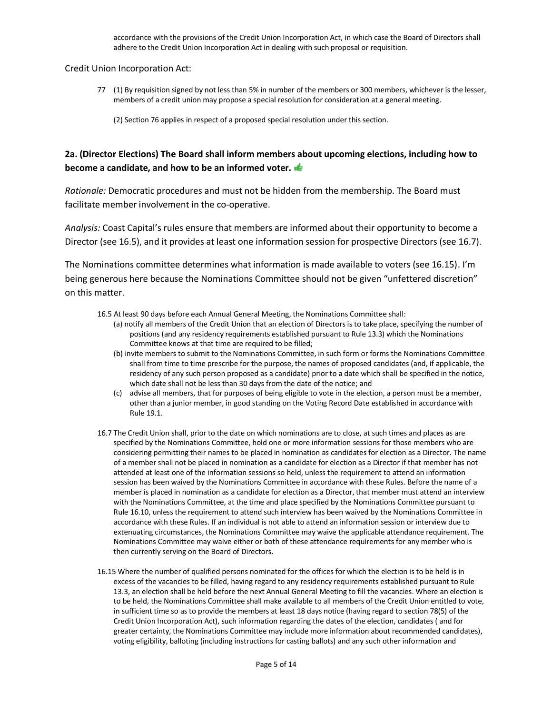accordance with the provisions of the Credit Union Incorporation Act, in which case the Board of Directors shall adhere to the Credit Union Incorporation Act in dealing with such proposal or requisition.

Credit Union Incorporation Act:

77 (1) By requisition signed by not less than 5% in number of the members or 300 members, whichever is the lesser, members of a credit union may propose a special resolution for consideration at a general meeting.

(2) Section 76 applies in respect of a proposed special resolution under this section.

# **2a. (Director Elections) The Board shall inform members about upcoming elections, including how to become a candidate, and how to be an informed voter.**

*Rationale:* Democratic procedures and must not be hidden from the membership. The Board must facilitate member involvement in the co-operative.

*Analysis:* Coast Capital's rules ensure that members are informed about their opportunity to become a Director (see 16.5), and it provides at least one information session for prospective Directors (see 16.7).

The Nominations committee determines what information is made available to voters (see 16.15). I'm being generous here because the Nominations Committee should not be given "unfettered discretion" on this matter.

- 16.5 At least 90 days before each Annual General Meeting, the Nominations Committee shall:
	- (a) notify all members of the Credit Union that an election of Directors is to take place, specifying the number of positions (and any residency requirements established pursuant to Rule 13.3) which the Nominations Committee knows at that time are required to be filled;
	- (b) invite members to submit to the Nominations Committee, in such form or forms the Nominations Committee shall from time to time prescribe for the purpose, the names of proposed candidates (and, if applicable, the residency of any such person proposed as a candidate) prior to a date which shall be specified in the notice, which date shall not be less than 30 days from the date of the notice; and
	- (c) advise all members, that for purposes of being eligible to vote in the election, a person must be a member, other than a junior member, in good standing on the Voting Record Date established in accordance with Rule 19.1.
- 16.7 The Credit Union shall, prior to the date on which nominations are to close, at such times and places as are specified by the Nominations Committee, hold one or more information sessions for those members who are considering permitting their names to be placed in nomination as candidates for election as a Director. The name of a member shall not be placed in nomination as a candidate for election as a Director if that member has not attended at least one of the information sessions so held, unless the requirement to attend an information session has been waived by the Nominations Committee in accordance with these Rules. Before the name of a member is placed in nomination as a candidate for election as a Director, that member must attend an interview with the Nominations Committee, at the time and place specified by the Nominations Committee pursuant to Rule 16.10, unless the requirement to attend such interview has been waived by the Nominations Committee in accordance with these Rules. If an individual is not able to attend an information session or interview due to extenuating circumstances, the Nominations Committee may waive the applicable attendance requirement. The Nominations Committee may waive either or both of these attendance requirements for any member who is then currently serving on the Board of Directors.
- 16.15 Where the number of qualified persons nominated for the offices for which the election is to be held is in excess of the vacancies to be filled, having regard to any residency requirements established pursuant to Rule 13.3, an election shall be held before the next Annual General Meeting to fill the vacancies. Where an election is to be held, the Nominations Committee shall make available to all members of the Credit Union entitled to vote, in sufficient time so as to provide the members at least 18 days notice (having regard to section 78(5) of the Credit Union Incorporation Act), such information regarding the dates of the election, candidates ( and for greater certainty, the Nominations Committee may include more information about recommended candidates), voting eligibility, balloting (including instructions for casting ballots) and any such other information and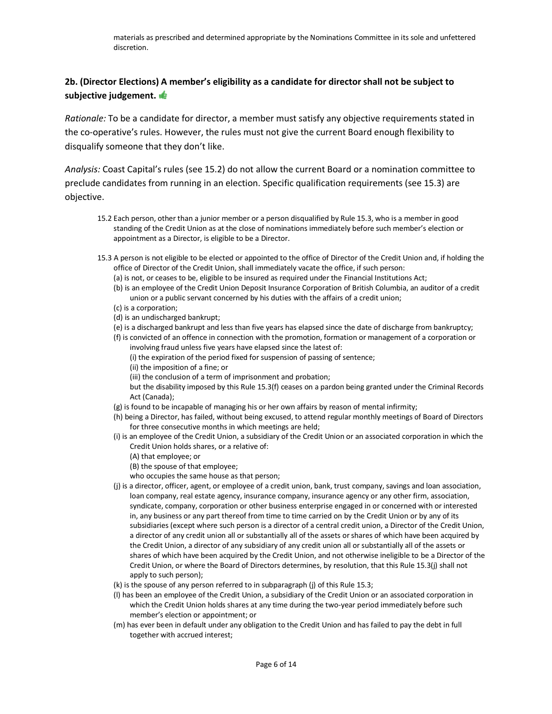# **2b. (Director Elections) A member's eligibility as a candidate for director shall not be subject to subjective judgement.**

*Rationale:* To be a candidate for director, a member must satisfy any objective requirements stated in the co-operative's rules. However, the rules must not give the current Board enough flexibility to disqualify someone that they don't like.

*Analysis:* Coast Capital's rules (see 15.2) do not allow the current Board or a nomination committee to preclude candidates from running in an election. Specific qualification requirements (see 15.3) are objective.

- 15.2 Each person, other than a junior member or a person disqualified by Rule 15.3, who is a member in good standing of the Credit Union as at the close of nominations immediately before such member's election or appointment as a Director, is eligible to be a Director.
- 15.3 A person is not eligible to be elected or appointed to the office of Director of the Credit Union and, if holding the office of Director of the Credit Union, shall immediately vacate the office, if such person:
	- (a) is not, or ceases to be, eligible to be insured as required under the Financial Institutions Act;
	- (b) is an employee of the Credit Union Deposit Insurance Corporation of British Columbia, an auditor of a credit union or a public servant concerned by his duties with the affairs of a credit union;
	- (c) is a corporation;
	- (d) is an undischarged bankrupt;
	- (e) is a discharged bankrupt and less than five years has elapsed since the date of discharge from bankruptcy;
	- (f) is convicted of an offence in connection with the promotion, formation or management of a corporation or involving fraud unless five years have elapsed since the latest of:
		- (i) the expiration of the period fixed for suspension of passing of sentence;
		- (ii) the imposition of a fine; or
		- (iii) the conclusion of a term of imprisonment and probation;

but the disability imposed by this Rule 15.3(f) ceases on a pardon being granted under the Criminal Records Act (Canada);

- (g) is found to be incapable of managing his or her own affairs by reason of mental infirmity;
- (h) being a Director, has failed, without being excused, to attend regular monthly meetings of Board of Directors for three consecutive months in which meetings are held;
- (i) is an employee of the Credit Union, a subsidiary of the Credit Union or an associated corporation in which the Credit Union holds shares, or a relative of:
	- (A) that employee; or
	- (B) the spouse of that employee;
	- who occupies the same house as that person;
- (j) is a director, officer, agent, or employee of a credit union, bank, trust company, savings and loan association, loan company, real estate agency, insurance company, insurance agency or any other firm, association, syndicate, company, corporation or other business enterprise engaged in or concerned with or interested in, any business or any part thereof from time to time carried on by the Credit Union or by any of its subsidiaries (except where such person is a director of a central credit union, a Director of the Credit Union, a director of any credit union all or substantially all of the assets or shares of which have been acquired by the Credit Union, a director of any subsidiary of any credit union all or substantially all of the assets or shares of which have been acquired by the Credit Union, and not otherwise ineligible to be a Director of the Credit Union, or where the Board of Directors determines, by resolution, that this Rule 15.3(j) shall not apply to such person);
- (k) is the spouse of any person referred to in subparagraph (j) of this Rule 15.3;
- (l) has been an employee of the Credit Union, a subsidiary of the Credit Union or an associated corporation in which the Credit Union holds shares at any time during the two-year period immediately before such member's election or appointment; or
- (m) has ever been in default under any obligation to the Credit Union and has failed to pay the debt in full together with accrued interest;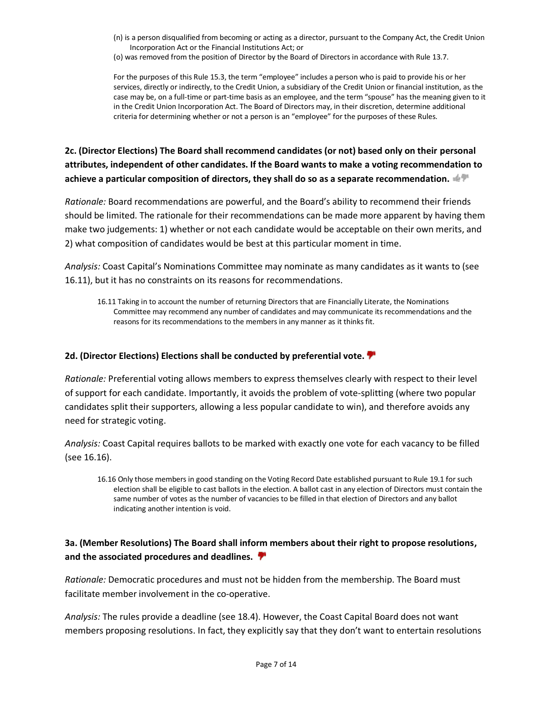- (n) is a person disqualified from becoming or acting as a director, pursuant to the Company Act, the Credit Union Incorporation Act or the Financial Institutions Act; or
- (o) was removed from the position of Director by the Board of Directors in accordance with Rule 13.7.

For the purposes of this Rule 15.3, the term "employee" includes a person who is paid to provide his or her services, directly or indirectly, to the Credit Union, a subsidiary of the Credit Union or financial institution, as the case may be, on a full-time or part-time basis as an employee, and the term "spouse" has the meaning given to it in the Credit Union Incorporation Act. The Board of Directors may, in their discretion, determine additional criteria for determining whether or not a person is an "employee" for the purposes of these Rules.

# **2c. (Director Elections) The Board shall recommend candidates (or not) based only on their personal attributes, independent of other candidates. If the Board wants to make a voting recommendation to achieve a particular composition of directors, they shall do so as a separate recommendation.**

*Rationale:* Board recommendations are powerful, and the Board's ability to recommend their friends should be limited. The rationale for their recommendations can be made more apparent by having them make two judgements: 1) whether or not each candidate would be acceptable on their own merits, and 2) what composition of candidates would be best at this particular moment in time.

*Analysis:* Coast Capital's Nominations Committee may nominate as many candidates as it wants to (see 16.11), but it has no constraints on its reasons for recommendations.

16.11 Taking in to account the number of returning Directors that are Financially Literate, the Nominations Committee may recommend any number of candidates and may communicate its recommendations and the reasons for its recommendations to the members in any manner as it thinks fit.

#### **2d. (Director Elections) Elections shall be conducted by preferential vote.**

*Rationale:* Preferential voting allows members to express themselves clearly with respect to their level of support for each candidate. Importantly, it avoids the problem of vote-splitting (where two popular candidates split their supporters, allowing a less popular candidate to win), and therefore avoids any need for strategic voting.

*Analysis:* Coast Capital requires ballots to be marked with exactly one vote for each vacancy to be filled (see 16.16).

16.16 Only those members in good standing on the Voting Record Date established pursuant to Rule 19.1 for such election shall be eligible to cast ballots in the election. A ballot cast in any election of Directors must contain the same number of votes as the number of vacancies to be filled in that election of Directors and any ballot indicating another intention is void.

#### **3a. (Member Resolutions) The Board shall inform members about their right to propose resolutions, and the associated procedures and deadlines.**

*Rationale:* Democratic procedures and must not be hidden from the membership. The Board must facilitate member involvement in the co-operative.

*Analysis:* The rules provide a deadline (see 18.4). However, the Coast Capital Board does not want members proposing resolutions. In fact, they explicitly say that they don't want to entertain resolutions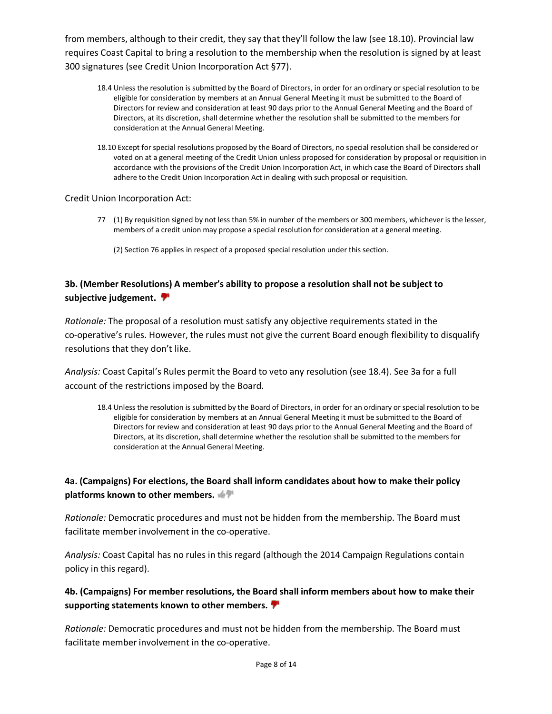from members, although to their credit, they say that they'll follow the law (see 18.10). Provincial law requires Coast Capital to bring a resolution to the membership when the resolution is signed by at least 300 signatures (see Credit Union Incorporation Act §77).

- 18.4 Unless the resolution is submitted by the Board of Directors, in order for an ordinary or special resolution to be eligible for consideration by members at an Annual General Meeting it must be submitted to the Board of Directors for review and consideration at least 90 days prior to the Annual General Meeting and the Board of Directors, at its discretion, shall determine whether the resolution shall be submitted to the members for consideration at the Annual General Meeting.
- 18.10 Except for special resolutions proposed by the Board of Directors, no special resolution shall be considered or voted on at a general meeting of the Credit Union unless proposed for consideration by proposal or requisition in accordance with the provisions of the Credit Union Incorporation Act, in which case the Board of Directors shall adhere to the Credit Union Incorporation Act in dealing with such proposal or requisition.

Credit Union Incorporation Act:

- 77 (1) By requisition signed by not less than 5% in number of the members or 300 members, whichever is the lesser, members of a credit union may propose a special resolution for consideration at a general meeting.
	- (2) Section 76 applies in respect of a proposed special resolution under this section.

### **3b. (Member Resolutions) A member's ability to propose a resolution shall not be subject to subjective judgement.**

*Rationale:* The proposal of a resolution must satisfy any objective requirements stated in the co-operative's rules. However, the rules must not give the current Board enough flexibility to disqualify resolutions that they don't like.

*Analysis:* Coast Capital's Rules permit the Board to veto any resolution (see 18.4). See 3a for a full account of the restrictions imposed by the Board.

18.4 Unless the resolution is submitted by the Board of Directors, in order for an ordinary or special resolution to be eligible for consideration by members at an Annual General Meeting it must be submitted to the Board of Directors for review and consideration at least 90 days prior to the Annual General Meeting and the Board of Directors, at its discretion, shall determine whether the resolution shall be submitted to the members for consideration at the Annual General Meeting.

# **4a. (Campaigns) For elections, the Board shall inform candidates about how to make their policy platforms known to other members.**

*Rationale:* Democratic procedures and must not be hidden from the membership. The Board must facilitate member involvement in the co-operative.

*Analysis:* Coast Capital has no rules in this regard (although the 2014 Campaign Regulations contain policy in this regard).

#### **4b. (Campaigns) For member resolutions, the Board shall inform members about how to make their supporting statements known to other members.**

*Rationale:* Democratic procedures and must not be hidden from the membership. The Board must facilitate member involvement in the co-operative.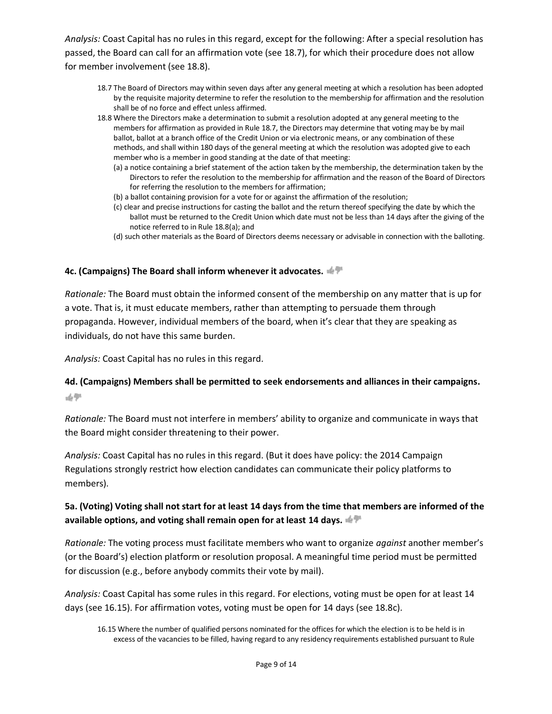*Analysis:* Coast Capital has no rules in this regard, except for the following: After a special resolution has passed, the Board can call for an affirmation vote (see 18.7), for which their procedure does not allow for member involvement (see 18.8).

- 18.7 The Board of Directors may within seven days after any general meeting at which a resolution has been adopted by the requisite majority determine to refer the resolution to the membership for affirmation and the resolution shall be of no force and effect unless affirmed.
- 18.8 Where the Directors make a determination to submit a resolution adopted at any general meeting to the members for affirmation as provided in Rule 18.7, the Directors may determine that voting may be by mail ballot, ballot at a branch office of the Credit Union or via electronic means, or any combination of these methods, and shall within 180 days of the general meeting at which the resolution was adopted give to each member who is a member in good standing at the date of that meeting:
	- (a) a notice containing a brief statement of the action taken by the membership, the determination taken by the Directors to refer the resolution to the membership for affirmation and the reason of the Board of Directors for referring the resolution to the members for affirmation;
	- (b) a ballot containing provision for a vote for or against the affirmation of the resolution;
	- (c) clear and precise instructions for casting the ballot and the return thereof specifying the date by which the ballot must be returned to the Credit Union which date must not be less than 14 days after the giving of the notice referred to in Rule 18.8(a); and
	- (d) such other materials as the Board of Directors deems necessary or advisable in connection with the balloting.

#### **4c. (Campaigns) The Board shall inform whenever it advocates.**

*Rationale:* The Board must obtain the informed consent of the membership on any matter that is up for a vote. That is, it must educate members, rather than attempting to persuade them through propaganda. However, individual members of the board, when it's clear that they are speaking as individuals, do not have this same burden.

*Analysis:* Coast Capital has no rules in this regard.

# **4d. (Campaigns) Members shall be permitted to seek endorsements and alliances in their campaigns.**  动产

*Rationale:* The Board must not interfere in members' ability to organize and communicate in ways that the Board might consider threatening to their power.

*Analysis:* Coast Capital has no rules in this regard. (But it does have policy: the 2014 Campaign Regulations strongly restrict how election candidates can communicate their policy platforms to members).

#### **5a. (Voting) Voting shall not start for at least 14 days from the time that members are informed of the available options, and voting shall remain open for at least 14 days.**

*Rationale:* The voting process must facilitate members who want to organize *against* another member's (or the Board's) election platform or resolution proposal. A meaningful time period must be permitted for discussion (e.g., before anybody commits their vote by mail).

*Analysis:* Coast Capital has some rules in this regard. For elections, voting must be open for at least 14 days (see 16.15). For affirmation votes, voting must be open for 14 days (see 18.8c).

<sup>16.15</sup> Where the number of qualified persons nominated for the offices for which the election is to be held is in excess of the vacancies to be filled, having regard to any residency requirements established pursuant to Rule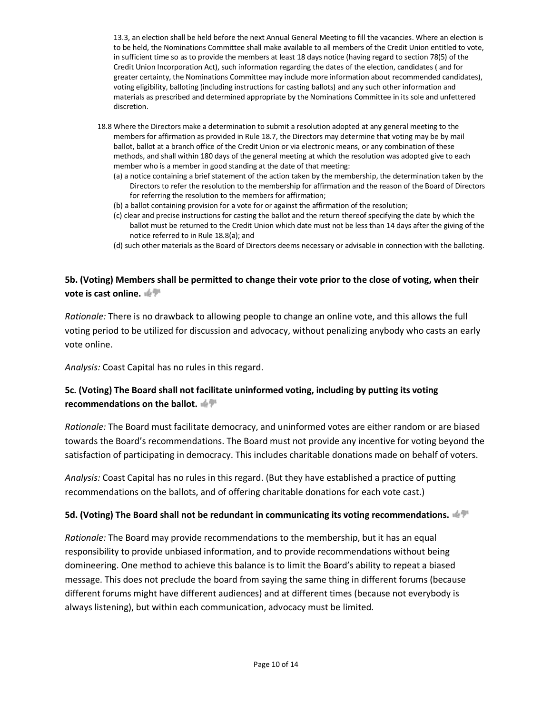13.3, an election shall be held before the next Annual General Meeting to fill the vacancies. Where an election is to be held, the Nominations Committee shall make available to all members of the Credit Union entitled to vote, in sufficient time so as to provide the members at least 18 days notice (having regard to section 78(5) of the Credit Union Incorporation Act), such information regarding the dates of the election, candidates ( and for greater certainty, the Nominations Committee may include more information about recommended candidates), voting eligibility, balloting (including instructions for casting ballots) and any such other information and materials as prescribed and determined appropriate by the Nominations Committee in its sole and unfettered discretion.

- 18.8 Where the Directors make a determination to submit a resolution adopted at any general meeting to the members for affirmation as provided in Rule 18.7, the Directors may determine that voting may be by mail ballot, ballot at a branch office of the Credit Union or via electronic means, or any combination of these methods, and shall within 180 days of the general meeting at which the resolution was adopted give to each member who is a member in good standing at the date of that meeting:
	- (a) a notice containing a brief statement of the action taken by the membership, the determination taken by the Directors to refer the resolution to the membership for affirmation and the reason of the Board of Directors for referring the resolution to the members for affirmation;
	- (b) a ballot containing provision for a vote for or against the affirmation of the resolution;
	- (c) clear and precise instructions for casting the ballot and the return thereof specifying the date by which the ballot must be returned to the Credit Union which date must not be less than 14 days after the giving of the notice referred to in Rule 18.8(a); and
	- (d) such other materials as the Board of Directors deems necessary or advisable in connection with the balloting.

# **5b. (Voting) Members shall be permitted to change their vote prior to the close of voting, when their vote is cast online.**

*Rationale:* There is no drawback to allowing people to change an online vote, and this allows the full voting period to be utilized for discussion and advocacy, without penalizing anybody who casts an early vote online.

*Analysis:* Coast Capital has no rules in this regard.

# **5c. (Voting) The Board shall not facilitate uninformed voting, including by putting its voting recommendations on the ballot.**

*Rationale:* The Board must facilitate democracy, and uninformed votes are either random or are biased towards the Board's recommendations. The Board must not provide any incentive for voting beyond the satisfaction of participating in democracy. This includes charitable donations made on behalf of voters.

*Analysis:* Coast Capital has no rules in this regard. (But they have established a practice of putting recommendations on the ballots, and of offering charitable donations for each vote cast.)

#### **5d. (Voting) The Board shall not be redundant in communicating its voting recommendations.**

*Rationale:* The Board may provide recommendations to the membership, but it has an equal responsibility to provide unbiased information, and to provide recommendations without being domineering. One method to achieve this balance is to limit the Board's ability to repeat a biased message. This does not preclude the board from saying the same thing in different forums (because different forums might have different audiences) and at different times (because not everybody is always listening), but within each communication, advocacy must be limited.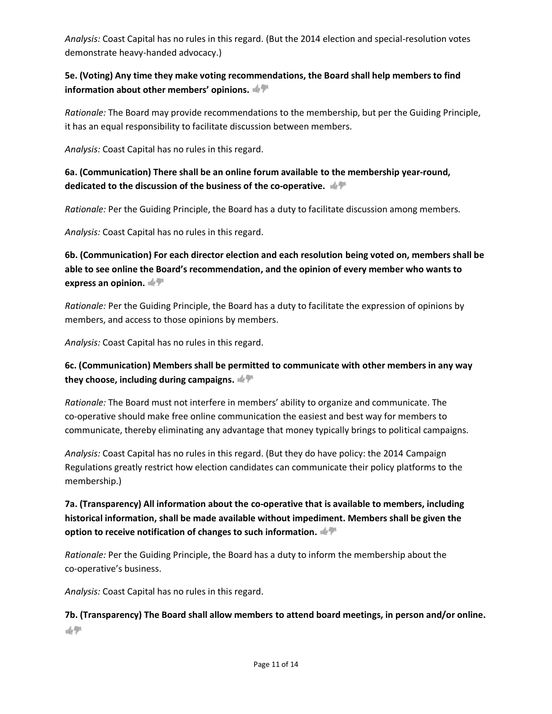*Analysis:* Coast Capital has no rules in this regard. (But the 2014 election and special-resolution votes demonstrate heavy-handed advocacy.)

#### **5e. (Voting) Any time they make voting recommendations, the Board shall help members to find information about other members' opinions.**

*Rationale:* The Board may provide recommendations to the membership, but per the Guiding Principle, it has an equal responsibility to facilitate discussion between members.

*Analysis:* Coast Capital has no rules in this regard.

#### **6a. (Communication) There shall be an online forum available to the membership year-round, dedicated to the discussion of the business of the co-operative.**

*Rationale:* Per the Guiding Principle, the Board has a duty to facilitate discussion among members.

*Analysis:* Coast Capital has no rules in this regard.

**6b. (Communication) For each director election and each resolution being voted on, members shall be able to see online the Board's recommendation, and the opinion of every member who wants to express an opinion.** 

*Rationale:* Per the Guiding Principle, the Board has a duty to facilitate the expression of opinions by members, and access to those opinions by members.

*Analysis:* Coast Capital has no rules in this regard.

# **6c. (Communication) Members shall be permitted to communicate with other members in any way they choose, including during campaigns.**

*Rationale:* The Board must not interfere in members' ability to organize and communicate. The co-operative should make free online communication the easiest and best way for members to communicate, thereby eliminating any advantage that money typically brings to political campaigns.

*Analysis:* Coast Capital has no rules in this regard. (But they do have policy: the 2014 Campaign Regulations greatly restrict how election candidates can communicate their policy platforms to the membership.)

# **7a. (Transparency) All information about the co-operative that is available to members, including historical information, shall be made available without impediment. Members shall be given the option to receive notification of changes to such information.**

*Rationale:* Per the Guiding Principle, the Board has a duty to inform the membership about the co-operative's business.

*Analysis:* Coast Capital has no rules in this regard.

**7b. (Transparency) The Board shall allow members to attend board meetings, in person and/or online.**語學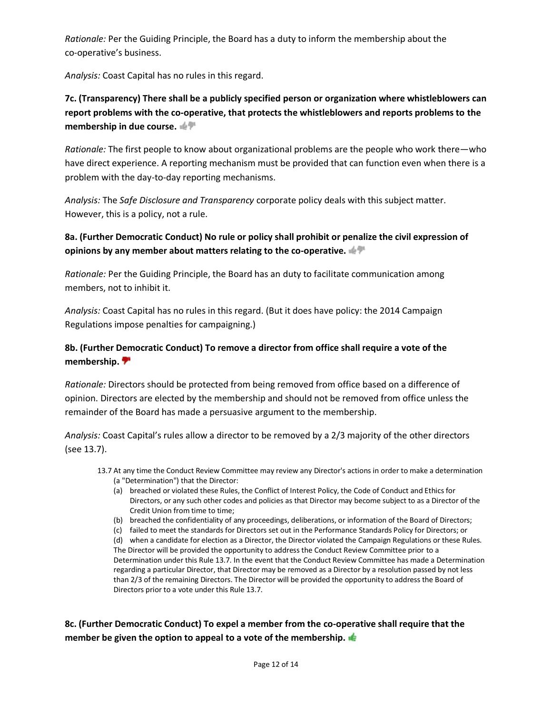*Rationale:* Per the Guiding Principle, the Board has a duty to inform the membership about the co-operative's business.

*Analysis:* Coast Capital has no rules in this regard.

# **7c. (Transparency) There shall be a publicly specified person or organization where whistleblowers can report problems with the co-operative, that protects the whistleblowers and reports problems to the membership in due course.**

*Rationale:* The first people to know about organizational problems are the people who work there—who have direct experience. A reporting mechanism must be provided that can function even when there is a problem with the day-to-day reporting mechanisms.

*Analysis:* The *Safe Disclosure and Transparency* corporate policy deals with this subject matter. However, this is a policy, not a rule.

# **8a. (Further Democratic Conduct) No rule or policy shall prohibit or penalize the civil expression of opinions by any member about matters relating to the co-operative.**

*Rationale:* Per the Guiding Principle, the Board has an duty to facilitate communication among members, not to inhibit it.

*Analysis:* Coast Capital has no rules in this regard. (But it does have policy: the 2014 Campaign Regulations impose penalties for campaigning.)

# **8b. (Further Democratic Conduct) To remove a director from office shall require a vote of the membership.**

*Rationale:* Directors should be protected from being removed from office based on a difference of opinion. Directors are elected by the membership and should not be removed from office unless the remainder of the Board has made a persuasive argument to the membership.

*Analysis:* Coast Capital's rules allow a director to be removed by a 2/3 majority of the other directors (see 13.7).

- 13.7 At any time the Conduct Review Committee may review any Director's actions in order to make a determination (a "Determination") that the Director:
	- (a) breached or violated these Rules, the Conflict of Interest Policy, the Code of Conduct and Ethics for Directors, or any such other codes and policies as that Director may become subject to as a Director of the Credit Union from time to time;
	- (b) breached the confidentiality of any proceedings, deliberations, or information of the Board of Directors;
	- (c) failed to meet the standards for Directors set out in the Performance Standards Policy for Directors; or

(d) when a candidate for election as a Director, the Director violated the Campaign Regulations or these Rules. The Director will be provided the opportunity to address the Conduct Review Committee prior to a Determination under this Rule 13.7. In the event that the Conduct Review Committee has made a Determination regarding a particular Director, that Director may be removed as a Director by a resolution passed by not less than 2/3 of the remaining Directors. The Director will be provided the opportunity to address the Board of Directors prior to a vote under this Rule 13.7.

**8c. (Further Democratic Conduct) To expel a member from the co-operative shall require that the member be given the option to appeal to a vote of the membership.**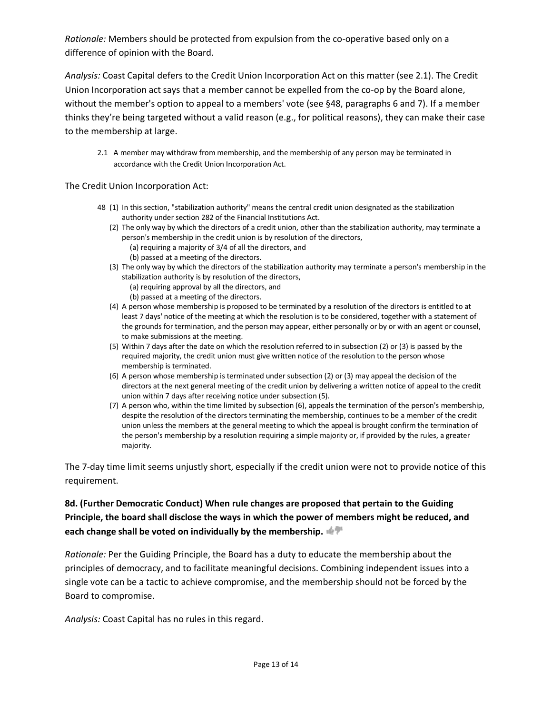*Rationale:* Members should be protected from expulsion from the co-operative based only on a difference of opinion with the Board.

*Analysis:* Coast Capital defers to the Credit Union Incorporation Act on this matter (see 2.1). The Credit Union Incorporation act says that a member cannot be expelled from the co-op by the Board alone, without the member's option to appeal to a members' vote (see §48, paragraphs 6 and 7). If a member thinks they're being targeted without a valid reason (e.g., for political reasons), they can make their case to the membership at large.

2.1 A member may withdraw from membership, and the membership of any person may be terminated in accordance with the Credit Union Incorporation Act.

The Credit Union Incorporation Act:

- 48 (1) In this section, "stabilization authority" means the central credit union designated as the stabilization authority under section 282 of the Financial Institutions Act.
	- (2) The only way by which the directors of a credit union, other than the stabilization authority, may terminate a person's membership in the credit union is by resolution of the directors,
		- (a) requiring a majority of 3/4 of all the directors, and (b) passed at a meeting of the directors.
	- (3) The only way by which the directors of the stabilization authority may terminate a person's membership in the stabilization authority is by resolution of the directors,
		- (a) requiring approval by all the directors, and
		- (b) passed at a meeting of the directors.
	- (4) A person whose membership is proposed to be terminated by a resolution of the directors is entitled to at least 7 days' notice of the meeting at which the resolution is to be considered, together with a statement of the grounds for termination, and the person may appear, either personally or by or with an agent or counsel, to make submissions at the meeting.
	- (5) Within 7 days after the date on which the resolution referred to in subsection (2) or (3) is passed by the required majority, the credit union must give written notice of the resolution to the person whose membership is terminated.
	- (6) A person whose membership is terminated under subsection (2) or (3) may appeal the decision of the directors at the next general meeting of the credit union by delivering a written notice of appeal to the credit union within 7 days after receiving notice under subsection (5).
	- (7) A person who, within the time limited by subsection (6), appeals the termination of the person's membership, despite the resolution of the directors terminating the membership, continues to be a member of the credit union unless the members at the general meeting to which the appeal is brought confirm the termination of the person's membership by a resolution requiring a simple majority or, if provided by the rules, a greater majority.

The 7-day time limit seems unjustly short, especially if the credit union were not to provide notice of this requirement.

**8d. (Further Democratic Conduct) When rule changes are proposed that pertain to the Guiding Principle, the board shall disclose the ways in which the power of members might be reduced, and each change shall be voted on individually by the membership.**

*Rationale:* Per the Guiding Principle, the Board has a duty to educate the membership about the principles of democracy, and to facilitate meaningful decisions. Combining independent issues into a single vote can be a tactic to achieve compromise, and the membership should not be forced by the Board to compromise.

*Analysis:* Coast Capital has no rules in this regard.